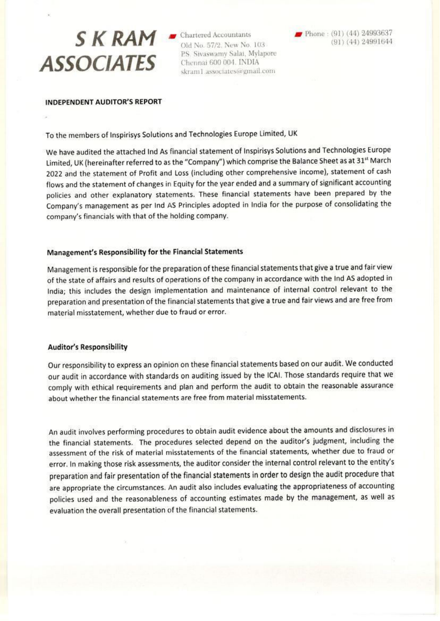# $S$  K RAM  $\blacksquare$  Chartered Accountants **ASSOCIATES**

Old No. 57/2, New No. 103 P.S. Sivaswamy Salai, Mylapore Chennai 600 004. INDIA skram1.associates@gmail.com

#### **INDEPENDENT AUDITOR'S REPORT**

To the members of Inspirisys Solutions and Technologies Europe Limited, UK

We have audited the attached Ind As financial statement of Inspirisys Solutions and Technologies Europe Limited, UK (hereinafter referred to as the "Company") which comprise the Balance Sheet as at 31st March 2022 and the statement of Profit and Loss (including other comprehensive income), statement of cash flows and the statement of changes in Equity for the year ended and a summary of significant accounting policies and other explanatory statements. These financial statements have been prepared by the Company's management as per Ind AS Principles adopted in India for the purpose of consolidating the company's financials with that of the holding company.

#### Management's Responsibility for the Financial Statements

Management is responsible for the preparation of these financial statements that give a true and fair view of the state of affairs and results of operations of the company in accordance with the Ind AS adopted in India; this includes the design implementation and maintenance of internal control relevant to the preparation and presentation of the financial statements that give a true and fair views and are free from material misstatement, whether due to fraud or error.

### **Auditor's Responsibility**

Our responsibility to express an opinion on these financial statements based on our audit. We conducted our audit in accordance with standards on auditing issued by the ICAI. Those standards require that we comply with ethical requirements and plan and perform the audit to obtain the reasonable assurance about whether the financial statements are free from material misstatements.

An audit involves performing procedures to obtain audit evidence about the amounts and disclosures in the financial statements. The procedures selected depend on the auditor's judgment, including the assessment of the risk of material misstatements of the financial statements, whether due to fraud or error. In making those risk assessments, the auditor consider the internal control relevant to the entity's preparation and fair presentation of the financial statements in order to design the audit procedure that are appropriate the circumstances. An audit also includes evaluating the appropriateness of accounting policies used and the reasonableness of accounting estimates made by the management, as well as evaluation the overall presentation of the financial statements.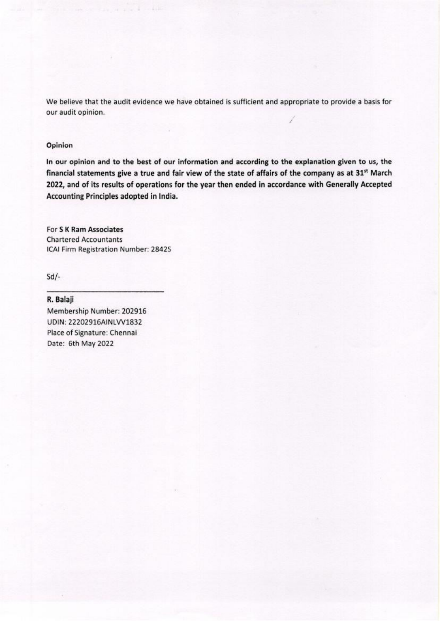We believe that the audit evidence we have obtained is sufficient and appropriate to provide a basis for our audit opinion.

#### Opinion

In our opinion and to the best of our information and according to the explanation given to us, the financial statements give a true and fair view of the state of affairs of the company as at 31<sup>st</sup> March 2022, and of its results of operations for the year then ended in accordance with Generally Accepted Accounting Principles adopted in India.

For S K Ram Associates **Chartered Accountants** ICAI Firm Registration Number: 2842S

 $Sd$ /-

R. Balaji Membership Number: 202916 UDIN: 22202916AINLVV1832 Place of Signature: Chennai Date: 6th May 2022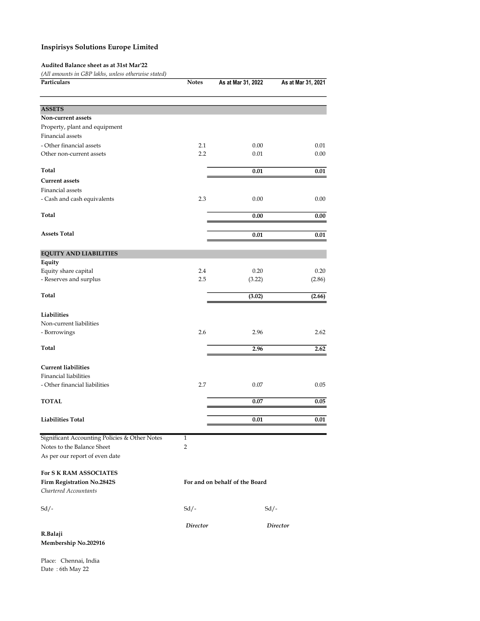#### Audited Balance sheet as at 31st Mar'22

(All amounts in GBP lakhs, unless otherwise stated)

| Particulars                                   | <b>Notes</b>    | As at Mar 31, 2022             | As at Mar 31, 2021 |
|-----------------------------------------------|-----------------|--------------------------------|--------------------|
|                                               |                 |                                |                    |
| <b>ASSETS</b>                                 |                 |                                |                    |
| Non-current assets                            |                 |                                |                    |
| Property, plant and equipment                 |                 |                                |                    |
| Financial assets                              |                 |                                |                    |
| - Other financial assets                      | 2.1             | 0.00                           | 0.01               |
| Other non-current assets                      | 2.2             | 0.01                           | 0.00               |
| Total                                         |                 | 0.01                           | 0.01               |
| <b>Current assets</b>                         |                 |                                |                    |
| Financial assets                              |                 |                                |                    |
| - Cash and cash equivalents                   | 2.3             | 0.00                           | 0.00               |
| Total                                         |                 | 0.00                           | 0.00               |
|                                               |                 |                                |                    |
| <b>Assets Total</b>                           |                 | 0.01                           | 0.01               |
| <b>EQUITY AND LIABILITIES</b>                 |                 |                                |                    |
| Equity                                        |                 |                                |                    |
| Equity share capital                          | 2.4             | 0.20                           | 0.20               |
| - Reserves and surplus                        | 2.5             | (3.22)                         | (2.86)             |
| Total                                         |                 | (3.02)                         | (2.66)             |
| Liabilities                                   |                 |                                |                    |
| Non-current liabilities                       |                 |                                |                    |
| - Borrowings                                  | 2.6             | 2.96                           | 2.62               |
|                                               |                 |                                |                    |
| Total                                         |                 | 2.96                           | 2.62               |
| <b>Current liabilities</b>                    |                 |                                |                    |
| <b>Financial liabilities</b>                  |                 |                                |                    |
| - Other financial liabilities                 | 2.7             | 0.07                           | 0.05               |
| <b>TOTAL</b>                                  |                 | 0.07                           | 0.05               |
|                                               |                 |                                |                    |
| <b>Liabilities Total</b>                      |                 | 0.01                           | 0.01               |
| Significant Accounting Policies & Other Notes | $\mathbf{1}$    |                                |                    |
| Notes to the Balance Sheet                    | 2               |                                |                    |
| As per our report of even date                |                 |                                |                    |
| For S K RAM ASSOCIATES                        |                 |                                |                    |
| Firm Registration No.2842S                    |                 | For and on behalf of the Board |                    |
| Chartered Accountants                         |                 |                                |                    |
| $Sd/-$                                        | $Sd/-$          | $Sd$ /-                        |                    |
|                                               | <b>Director</b> |                                | <b>Director</b>    |
| R.Balaji                                      |                 |                                |                    |
| Membership No.202916                          |                 |                                |                    |

Place: Chennai, India Date : 6th May 22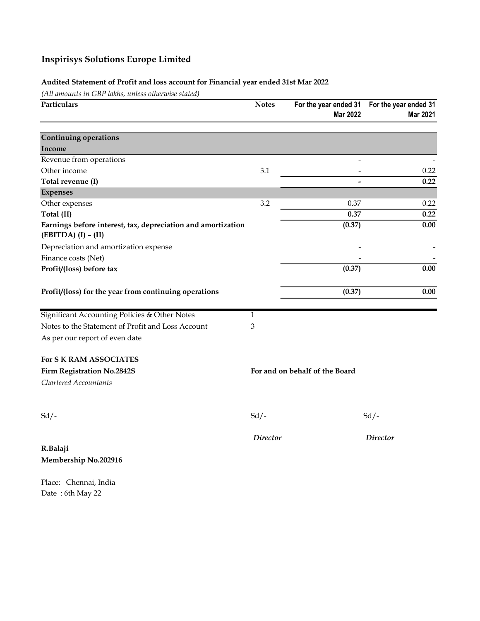## Audited Statement of Profit and loss account for Financial year ended 31st Mar 2022

(All amounts in GBP lakhs, unless otherwise stated)

| Particulars                                                                           | <b>Notes</b>    | For the year ended 31<br>Mar 2022 | For the year ended 31<br>Mar 2021 |
|---------------------------------------------------------------------------------------|-----------------|-----------------------------------|-----------------------------------|
| <b>Continuing operations</b><br>Income                                                |                 |                                   |                                   |
| Revenue from operations                                                               |                 |                                   |                                   |
| Other income                                                                          | 3.1             |                                   | 0.22                              |
| Total revenue (I)                                                                     |                 | $\overline{a}$                    | 0.22                              |
| <b>Expenses</b>                                                                       |                 |                                   |                                   |
| Other expenses                                                                        | 3.2             | 0.37                              | 0.22                              |
| Total (II)                                                                            |                 | 0.37                              | 0.22                              |
| Earnings before interest, tax, depreciation and amortization<br>$(EBITDA) (I) - (II)$ |                 | (0.37)                            | 0.00                              |
| Depreciation and amortization expense                                                 |                 |                                   |                                   |
| Finance costs (Net)                                                                   |                 |                                   |                                   |
| Profit/(loss) before tax                                                              |                 | (0.37)                            | 0.00                              |
| Profit/(loss) for the year from continuing operations                                 |                 | (0.37)                            | 0.00                              |
| Significant Accounting Policies & Other Notes                                         | $\mathbf{1}$    |                                   |                                   |
| Notes to the Statement of Profit and Loss Account                                     | 3               |                                   |                                   |
| As per our report of even date                                                        |                 |                                   |                                   |
| <b>For S K RAM ASSOCIATES</b>                                                         |                 |                                   |                                   |
| <b>Firm Registration No.2842S</b>                                                     |                 | For and on behalf of the Board    |                                   |
| Chartered Accountants                                                                 |                 |                                   |                                   |
| $Sd$ /-                                                                               | $Sd$ /-         |                                   | $Sd$ /-                           |
|                                                                                       | <b>Director</b> |                                   | <b>Director</b>                   |
| R.Balaji<br>Membership No.202916                                                      |                 |                                   |                                   |

Place: Chennai, India Date : 6th May 22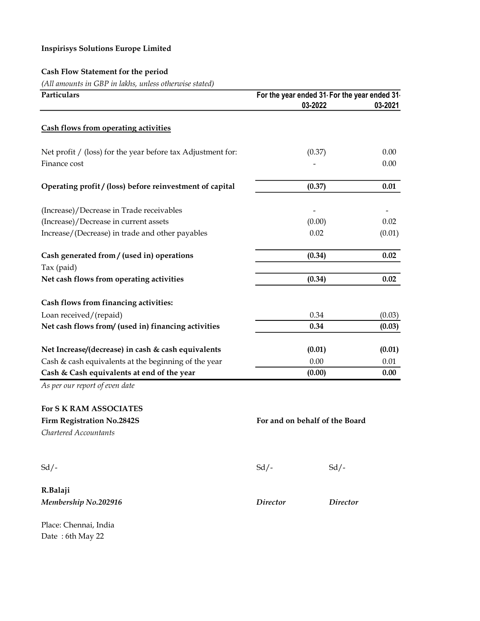# Cash Flow Statement for the period

(All amounts in GBP in lakhs, unless otherwise stated)

| Particulars                                                 | For the year ended 31 For the year ended 31 |         |  |
|-------------------------------------------------------------|---------------------------------------------|---------|--|
|                                                             | 03-2022                                     | 03-2021 |  |
| <b>Cash flows from operating activities</b>                 |                                             |         |  |
| Net profit / (loss) for the year before tax Adjustment for: | (0.37)                                      | 0.00    |  |
| Finance cost                                                |                                             | 0.00    |  |
| Operating profit / (loss) before reinvestment of capital    | (0.37)                                      | 0.01    |  |
| (Increase)/Decrease in Trade receivables                    |                                             |         |  |
| (Increase)/Decrease in current assets                       | (0.00)                                      | 0.02    |  |
| Increase/(Decrease) in trade and other payables             | 0.02                                        | (0.01)  |  |
| Cash generated from / (used in) operations                  | (0.34)                                      | 0.02    |  |
| Tax (paid)                                                  |                                             |         |  |
| Net cash flows from operating activities                    | (0.34)                                      | 0.02    |  |
| Cash flows from financing activities:                       |                                             |         |  |
| Loan received/(repaid)                                      | 0.34                                        | (0.03)  |  |
| Net cash flows from/ (used in) financing activities         | 0.34                                        | (0.03)  |  |
| Net Increase/(decrease) in cash & cash equivalents          | (0.01)                                      | (0.01)  |  |
| Cash & cash equivalents at the beginning of the year        | 0.00                                        | 0.01    |  |
| Cash & Cash equivalents at end of the year                  | (0.00)                                      | 0.00    |  |

As per our report of even date

| <b>For S K RAM ASSOCIATES</b>     |                                |                 |  |
|-----------------------------------|--------------------------------|-----------------|--|
| <b>Firm Registration No.2842S</b> | For and on behalf of the Board |                 |  |
| Chartered Accountants             |                                |                 |  |
|                                   |                                |                 |  |
| $Sd$ /-                           | $Sd$ /-                        | $Sd$ /-         |  |
| R.Balaji                          |                                |                 |  |
| Membership No.202916              | <i>Director</i>                | <b>Director</b> |  |
| Place: Chennai, India             |                                |                 |  |

Date : 6th May 22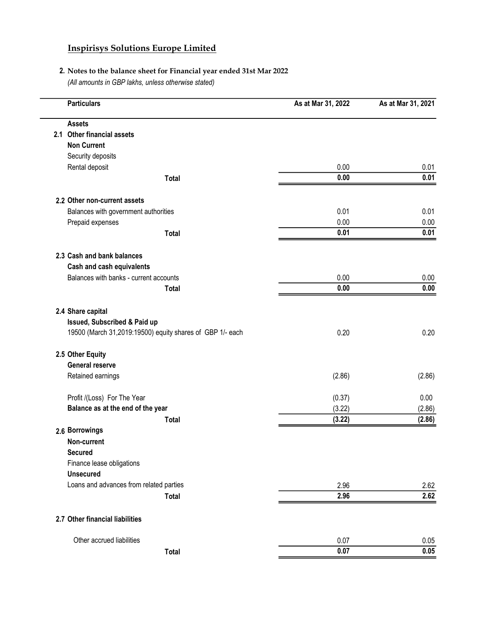## 2. Notes to the balance sheet for Financial year ended 31st Mar 2022

(All amounts in GBP lakhs, unless otherwise stated)

| <b>Particulars</b>                                        | As at Mar 31, 2022 | As at Mar 31, 2021 |
|-----------------------------------------------------------|--------------------|--------------------|
| <b>Assets</b>                                             |                    |                    |
| 2.1 Other financial assets                                |                    |                    |
| <b>Non Current</b>                                        |                    |                    |
| Security deposits                                         |                    |                    |
| Rental deposit                                            | 0.00               | 0.01               |
| <b>Total</b>                                              | 0.00               | 0.01               |
| 2.2 Other non-current assets                              |                    |                    |
| Balances with government authorities                      | 0.01               | 0.01               |
| Prepaid expenses                                          | 0.00               | 0.00               |
| <b>Total</b>                                              | 0.01               | 0.01               |
| 2.3 Cash and bank balances                                |                    |                    |
| Cash and cash equivalents                                 |                    |                    |
| Balances with banks - current accounts                    | 0.00               | 0.00               |
| <b>Total</b>                                              | 0.00               | 0.00               |
| 2.4 Share capital                                         |                    |                    |
| Issued, Subscribed & Paid up                              |                    |                    |
| 19500 (March 31,2019:19500) equity shares of GBP 1/- each | 0.20               | 0.20               |
| 2.5 Other Equity                                          |                    |                    |
| <b>General reserve</b>                                    |                    |                    |
| Retained earnings                                         | (2.86)             | (2.86)             |
| Profit /(Loss) For The Year                               | (0.37)             | 0.00               |
| Balance as at the end of the year                         | (3.22)             | (2.86)             |
| Total                                                     | (3.22)             | (2.86)             |
| 2.6 Borrowings                                            |                    |                    |
| Non-current                                               |                    |                    |
| <b>Secured</b>                                            |                    |                    |
| Finance lease obligations                                 |                    |                    |
| <b>Unsecured</b>                                          |                    |                    |
| Loans and advances from related parties                   | 2.96               | 2.62               |
| <b>Total</b>                                              | 2.96               | 2.62               |
| 2.7 Other financial liabilities                           |                    |                    |
| Other accrued liabilities                                 | 0.07               | 0.05               |
| <b>Total</b>                                              | 0.07               | 0.05               |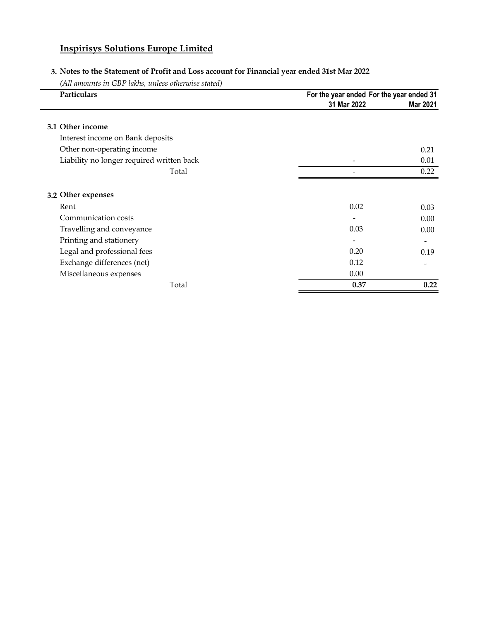## 3. Notes to the Statement of Profit and Loss account for Financial year ended 31st Mar 2022

(All amounts in GBP lakhs, unless otherwise stated)

L.

| Particulars                               | For the year ended For the year ended 31 |          |  |
|-------------------------------------------|------------------------------------------|----------|--|
|                                           | 31 Mar 2022                              | Mar 2021 |  |
| 3.1 Other income                          |                                          |          |  |
| Interest income on Bank deposits          |                                          |          |  |
| Other non-operating income                |                                          | 0.21     |  |
| Liability no longer required written back |                                          | 0.01     |  |
| Total                                     |                                          | 0.22     |  |
| 3.2 Other expenses                        |                                          |          |  |
| Rent                                      | 0.02                                     | 0.03     |  |
| Communication costs                       |                                          | 0.00     |  |
| Travelling and conveyance                 | 0.03                                     | 0.00     |  |
| Printing and stationery                   |                                          |          |  |
| Legal and professional fees               | 0.20                                     | 0.19     |  |
| Exchange differences (net)                | 0.12                                     |          |  |
| Miscellaneous expenses                    | 0.00                                     |          |  |
| Total                                     | 0.37                                     | 0.22     |  |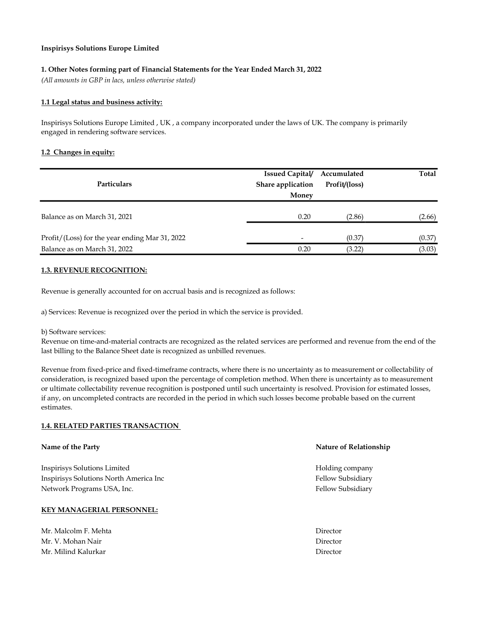#### 1. Other Notes forming part of Financial Statements for the Year Ended March 31, 2022

(All amounts in GBP in lacs, unless otherwise stated)

#### 1.1 Legal status and business activity:

Inspirisys Solutions Europe Limited , UK , a company incorporated under the laws of UK. The company is primarily engaged in rendering software services.

#### 1.2 Changes in equity:

| <b>Particulars</b>                             | <b>Issued Capital/</b>     | Accumulated<br>Profit/(loss) | Total  |
|------------------------------------------------|----------------------------|------------------------------|--------|
|                                                | Share application<br>Money |                              |        |
| Balance as on March 31, 2021                   | 0.20                       | (2.86)                       | (2.66) |
| Profit/(Loss) for the year ending Mar 31, 2022 |                            | (0.37)                       | (0.37) |
| Balance as on March 31, 2022                   | 0.20                       | (3.22)                       | (3.03) |

#### 1.3. REVENUE RECOGNITION:

Revenue is generally accounted for on accrual basis and is recognized as follows:

a) Services: Revenue is recognized over the period in which the service is provided.

#### b) Software services:

Revenue on time-and-material contracts are recognized as the related services are performed and revenue from the end of the last billing to the Balance Sheet date is recognized as unbilled revenues.

Revenue from fixed-price and fixed-timeframe contracts, where there is no uncertainty as to measurement or collectability of consideration, is recognized based upon the percentage of completion method. When there is uncertainty as to measurement or ultimate collectability revenue recognition is postponed until such uncertainty is resolved. Provision for estimated losses, if any, on uncompleted contracts are recorded in the period in which such losses become probable based on the current estimates.

#### 1.4. RELATED PARTIES TRANSACTION

# Name of the Party Nature of Relationship Inspirisys Solutions Limited **Following Company** Holding company Inspirisys Solutions North America Inc Fellow Subsidiary Fellow Subsidiary Network Programs USA, Inc. The contract of the contract of the set of the set of the set of the set of the set of the set of the set of the set of the set of the set of the set of the set of the set of the set of the set o KEY MANAGERIAL PERSONNEL: Mr. Malcolm F. Mehta Director

Mr. V. Mohan Nair Director Mr. Milind Kalurkar Director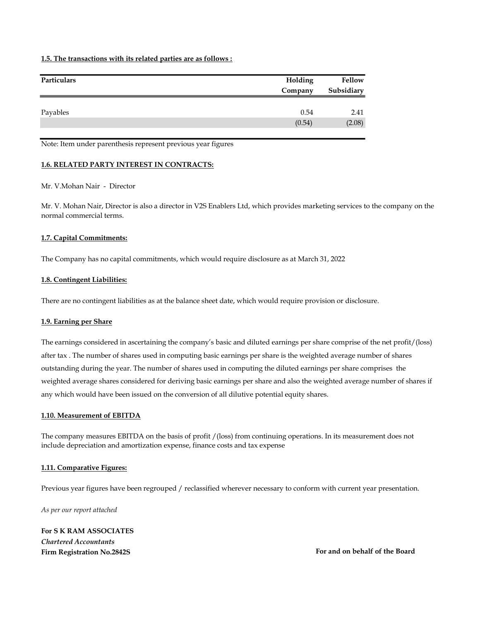#### 1.5. The transactions with its related parties are as follows :

| Particulars | Holding | Fellow     |
|-------------|---------|------------|
|             | Company | Subsidiary |
|             |         |            |
| Payables    | 0.54    | 2.41       |
|             | (0.54)  | (2.08)     |

Note: Item under parenthesis represent previous year figures

#### 1.6. RELATED PARTY INTEREST IN CONTRACTS:

#### Mr. V.Mohan Nair - Director

Mr. V. Mohan Nair, Director is also a director in V2S Enablers Ltd, which provides marketing services to the company on the normal commercial terms.

#### 1.7. Capital Commitments:

The Company has no capital commitments, which would require disclosure as at March 31, 2022

#### 1.8. Contingent Liabilities:

There are no contingent liabilities as at the balance sheet date, which would require provision or disclosure.

#### 1.9. Earning per Share

The earnings considered in ascertaining the company's basic and diluted earnings per share comprise of the net profit/(loss) after tax . The number of shares used in computing basic earnings per share is the weighted average number of shares outstanding during the year. The number of shares used in computing the diluted earnings per share comprises the weighted average shares considered for deriving basic earnings per share and also the weighted average number of shares if any which would have been issued on the conversion of all dilutive potential equity shares.

#### 1.10. Measurement of EBITDA

The company measures EBITDA on the basis of profit /(loss) from continuing operations. In its measurement does not include depreciation and amortization expense, finance costs and tax expense

#### 1.11. Comparative Figures:

Previous year figures have been regrouped / reclassified wherever necessary to conform with current year presentation.

As per our report attached

For S K RAM ASSOCIATES Chartered Accountants Firm Registration No.2842S **For and on behalf of the Board**